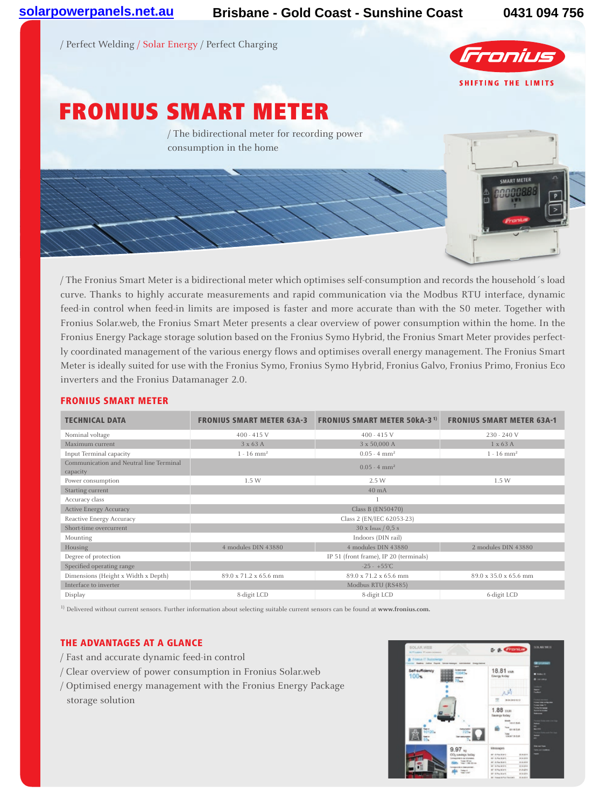/ Perfect Welding / Solar Energy / Perfect Charging



**SMART METER** 

# FRONIUS SMART METER

/ The bidirectional meter for recording power consumption in the home

/ The Fronius Smart Meter is a bidirectional meter which optimises self-consumption and records the household´s load curve. Thanks to highly accurate measurements and rapid communication via the Modbus RTU interface, dynamic feed-in control when feed-in limits are imposed is faster and more accurate than with the S0 meter. Together with Fronius Solar.web, the Fronius Smart Meter presents a clear overview of power consumption within the home. In the Fronius Energy Package storage solution based on the Fronius Symo Hybrid, the Fronius Smart Meter provides perfectly coordinated management of the various energy flows and optimises overall energy management. The Fronius Smart Meter is ideally suited for use with the Fronius Symo, Fronius Symo Hybrid, Fronius Galvo, Fronius Primo, Fronius Eco inverters and the Fronius Datamanager 2.0.

### Fronius smart meter

| <b>TECHNICAL DATA</b>                               | <b>FRONIUS SMART METER 63A-3</b>       | <b>FRONIUS SMART METER 50kA-3<sup>1)</sup></b> | <b>FRONIUS SMART METER 63A-1</b> |
|-----------------------------------------------------|----------------------------------------|------------------------------------------------|----------------------------------|
| Nominal voltage                                     | $400 - 415$ V                          | $400 - 415$ V                                  | 230 - 240 V                      |
| Maximum current                                     | $3 \times 63$ A                        | 3 x 50,000 A                                   | $1 \times 63$ A                  |
| Input Terminal capacity                             | $1 - 16$ mm <sup>2</sup>               | $0.05 - 4 \text{ mm}^2$                        | $1 - 16$ mm <sup>2</sup>         |
| Communication and Neutral line Terminal<br>capacity |                                        | $0.05 - 4 \text{ mm}^2$                        |                                  |
| Power consumption                                   | 1.5W                                   | 2.5 W                                          | 1.5 W                            |
| Starting current                                    |                                        | $40 \text{ mA}$                                |                                  |
| Accuracy class                                      |                                        |                                                |                                  |
| <b>Active Energy Accuracy</b>                       |                                        | Class B (EN50470)                              |                                  |
| Reactive Energy Accuracy                            |                                        | Class 2 (EN/IEC 62053-23)                      |                                  |
| Short-time overcurrent                              | $30 \times$ Imax $/ 0.5$ s             |                                                |                                  |
| Mounting                                            |                                        | Indoors (DIN rail)                             |                                  |
| Housing                                             | 4 modules DIN 43880                    | 4 modules DIN 43880                            | 2 modules DIN 43880              |
| Degree of protection                                | IP 51 (front frame), IP 20 (terminals) |                                                |                                  |
| Specified operating range                           |                                        | $-25 - +55^{\circ}C$                           |                                  |
| Dimensions (Height x Width x Depth)                 | 89.0 x 71.2 x 65.6 mm                  | 89.0 x 71.2 x 65.6 mm                          | 89.0 x 35.0 x 65.6 mm            |
| Interface to inverter                               |                                        | Modbus RTU (RS485)                             |                                  |
| Display                                             | 8-digit LCD                            | 8-digit LCD                                    | 6-digit LCD                      |

1) Delivered without current sensors. Further information about selecting suitable current sensors can be found at **www.fronius.com.**

## THE ADVANTAGES AT A GLANCE

- / Fast and accurate dynamic feed-in control
- / Clear overview of power consumption in Fronius Solar.web
- / Optimised energy management with the Fronius Energy Package storage solution